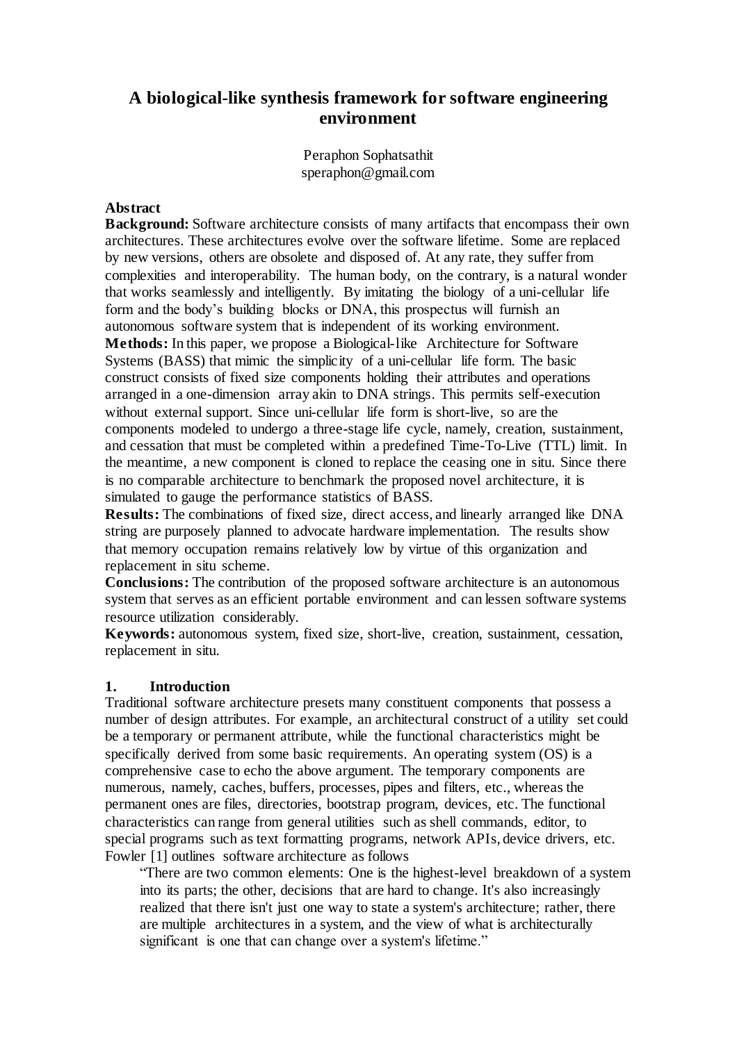# **A biological-like synthesis framework for software engineering environment**

Peraphon Sophatsathit speraphon@gmail.com

### **Abstract**

**Background:** Software architecture consists of many artifacts that encompass their own architectures. These architectures evolve over the software lifetime. Some are replaced by new versions, others are obsolete and disposed of. At any rate, they suffer from complexities and interoperability. The human body, on the contrary, is a natural wonder that works seamlessly and intelligently. By imitating the biology of a uni-cellular life form and the body's building blocks or DNA, this prospectus will furnish an autonomous software system that is independent of its working environment. **Methods:** In this paper, we propose a Biological-like Architecture for Software Systems (BASS) that mimic the simplicity of a uni-cellular life form. The basic construct consists of fixed size components holding their attributes and operations arranged in a one-dimension array akin to DNA strings. This permits self-execution without external support. Since uni-cellular life form is short-live, so are the components modeled to undergo a three-stage life cycle, namely, creation, sustainment, and cessation that must be completed within a predefined Time-To-Live (TTL) limit. In the meantime, a new component is cloned to replace the ceasing one in situ. Since there is no comparable architecture to benchmark the proposed novel architecture, it is simulated to gauge the performance statistics of BASS.

**Results:** The combinations of fixed size, direct access, and linearly arranged like DNA string are purposely planned to advocate hardware implementation. The results show that memory occupation remains relatively low by virtue of this organization and replacement in situ scheme.

**Conclusions:** The contribution of the proposed software architecture is an autonomous system that serves as an efficient portable environment and can lessen software systems resource utilization considerably.

**Keywords:** autonomous system, fixed size, short-live, creation, sustainment, cessation, replacement in situ.

#### **1. Introduction**

Traditional software architecture presets many constituent components that possess a number of design attributes. For example, an architectural construct of a utility set could be a temporary or permanent attribute, while the functional characteristics might be specifically derived from some basic requirements. An operating system (OS) is a comprehensive case to echo the above argument. The temporary components are numerous, namely, caches, buffers, processes, pipes and filters, etc., whereas the permanent ones are files, directories, bootstrap program, devices, etc. The functional characteristics can range from general utilities such as shell commands, editor, to special programs such as text formatting programs, network APIs, device drivers, etc. Fowler [1] outlines software architecture as follows

"There are two common elements: One is the highest-level breakdown of a system into its parts; the other, decisions that are hard to change. It's also increasingly realized that there isn't just one way to state a system's architecture; rather, there are multiple architectures in a system, and the view of what is architecturally significant is one that can change over a system's lifetime."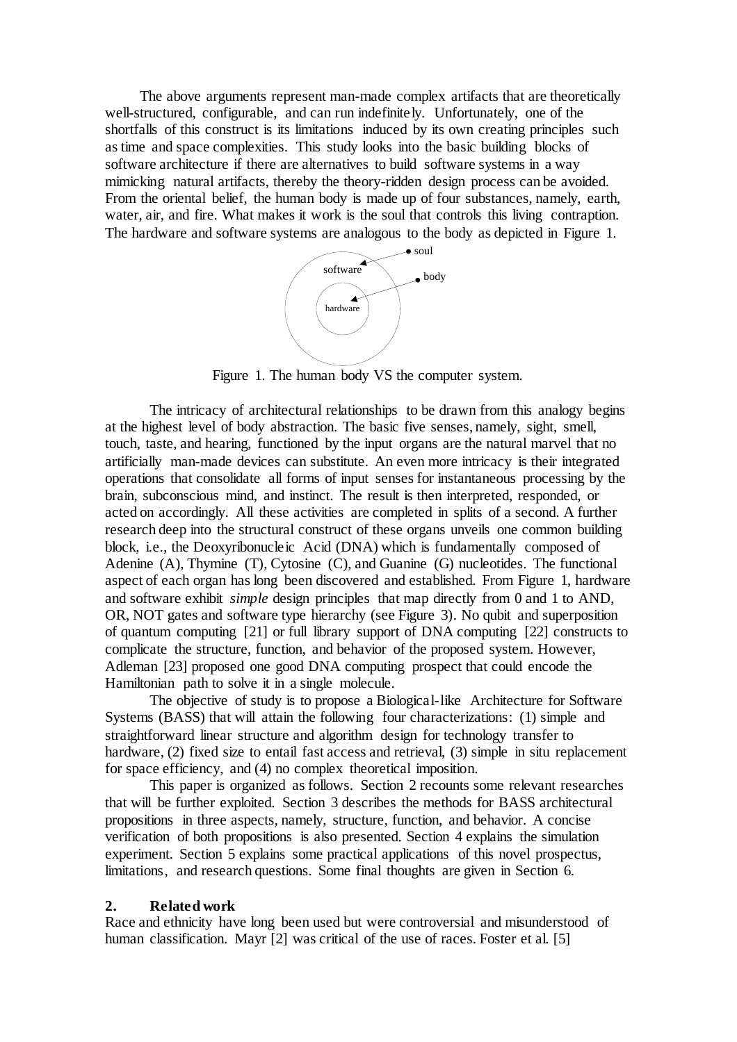The above arguments represent man-made complex artifacts that are theoretically well-structured, configurable, and can run indefinitely. Unfortunately, one of the shortfalls of this construct is its limitations induced by its own creating principles such as time and space complexities. This study looks into the basic building blocks of software architecture if there are alternatives to build software systems in a way mimicking natural artifacts, thereby the theory-ridden design process can be avoided. From the oriental belief, the human body is made up of four substances, namely, earth, water, air, and fire. What makes it work is the soul that controls this living contraption. The hardware and software systems are analogous to the body as depicted in Figure 1.



Figure 1. The human body VS the computer system.

The intricacy of architectural relationships to be drawn from this analogy begins at the highest level of body abstraction. The basic five senses, namely, sight, smell, touch, taste, and hearing, functioned by the input organs are the natural marvel that no artificially man-made devices can substitute. An even more intricacy is their integrated operations that consolidate all forms of input senses for instantaneous processing by the brain, subconscious mind, and instinct. The result is then interpreted, responded, or acted on accordingly. All these activities are completed in splits of a second. A further research deep into the structural construct of these organs unveils one common building block, i.e., the Deoxyribonucleic Acid (DNA) which is fundamentally composed of Adenine (A), Thymine (T), Cytosine (C), and Guanine (G) nucleotides. The functional aspect of each organ has long been discovered and established. From Figure 1, hardware and software exhibit *simple* design principles that map directly from 0 and 1 to AND, OR, NOT gates and software type hierarchy (see Figure 3). No qubit and superposition of quantum computing [21] or full library support of DNA computing [22] constructs to complicate the structure, function, and behavior of the proposed system. However, Adleman [23] proposed one good DNA computing prospect that could encode the Hamiltonian path to solve it in a single molecule.

The objective of study is to propose a Biological-like Architecture for Software Systems (BASS) that will attain the following four characterizations: (1) simple and straightforward linear structure and algorithm design for technology transfer to hardware, (2) fixed size to entail fast access and retrieval, (3) simple in situ replacement for space efficiency, and (4) no complex theoretical imposition.

This paper is organized as follows. Section 2 recounts some relevant researches that will be further exploited. Section 3 describes the methods for BASS architectural propositions in three aspects, namely, structure, function, and behavior. A concise verification of both propositions is also presented. Section 4 explains the simulation experiment. Section 5 explains some practical applications of this novel prospectus, limitations, and research questions. Some final thoughts are given in Section 6.

#### **2. Related work**

Race and ethnicity have long been used but were controversial and misunderstood of human classification. Mayr [2] was critical of the use of races. Foster et al. [5]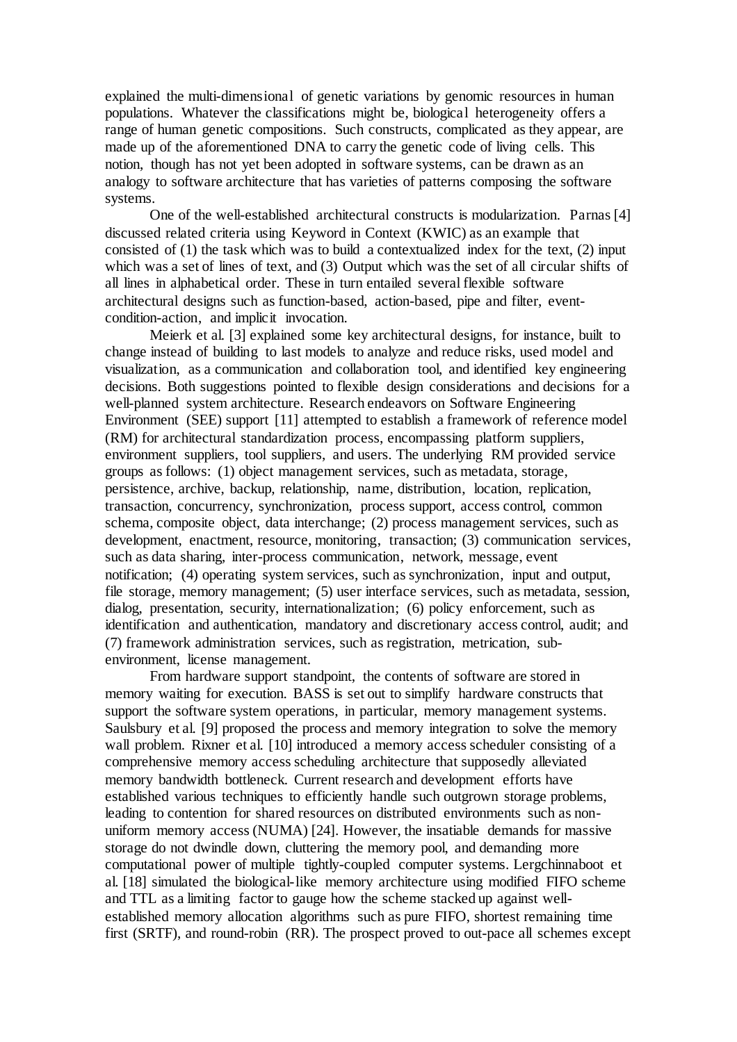explained the multi-dimensional of genetic variations by genomic resources in human populations. Whatever the classifications might be, biological heterogeneity offers a range of human genetic compositions. Such constructs, complicated as they appear, are made up of the aforementioned DNA to carry the genetic code of living cells. This notion, though has not yet been adopted in software systems, can be drawn as an analogy to software architecture that has varieties of patterns composing the software systems.

One of the well-established architectural constructs is modularization. Parnas [4] discussed related criteria using Keyword in Context (KWIC) as an example that consisted of (1) the task which was to build a contextualized index for the text, (2) input which was a set of lines of text, and (3) Output which was the set of all circular shifts of all lines in alphabetical order. These in turn entailed several flexible software architectural designs such as function-based, action-based, pipe and filter, eventcondition-action, and implicit invocation.

Meierk et al. [3] explained some key architectural designs, for instance, built to change instead of building to last models to analyze and reduce risks, used model and visualization, as a communication and collaboration tool, and identified key engineering decisions. Both suggestions pointed to flexible design considerations and decisions for a well-planned system architecture. Research endeavors on Software Engineering Environment (SEE) support [11] attempted to establish a framework of reference model (RM) for architectural standardization process, encompassing platform suppliers, environment suppliers, tool suppliers, and users. The underlying RM provided service groups as follows: (1) object management services, such as metadata, storage, persistence, archive, backup, relationship, name, distribution, location, replication, transaction, concurrency, synchronization, process support, access control, common schema, composite object, data interchange; (2) process management services, such as development, enactment, resource, monitoring, transaction; (3) communication services, such as data sharing, inter-process communication, network, message, event notification; (4) operating system services, such as synchronization, input and output, file storage, memory management; (5) user interface services, such as metadata, session, dialog, presentation, security, internationalization; (6) policy enforcement, such as identification and authentication, mandatory and discretionary access control, audit; and (7) framework administration services, such as registration, metrication, subenvironment, license management.

From hardware support standpoint, the contents of software are stored in memory waiting for execution. BASS is set out to simplify hardware constructs that support the software system operations, in particular, memory management systems. Saulsbury et al. [9] proposed the process and memory integration to solve the memory wall problem. Rixner et al. [10] introduced a memory access scheduler consisting of a comprehensive memory access scheduling architecture that supposedly alleviated memory bandwidth bottleneck. Current research and development efforts have established various techniques to efficiently handle such outgrown storage problems, leading to contention for shared resources on distributed environments such as nonuniform memory access (NUMA) [24]. However, the insatiable demands for massive storage do not dwindle down, cluttering the memory pool, and demanding more computational power of multiple tightly-coupled computer systems. Lergchinnaboot et al. [18] simulated the biological-like memory architecture using modified FIFO scheme and TTL as a limiting factor to gauge how the scheme stacked up against wellestablished memory allocation algorithms such as pure FIFO, shortest remaining time first (SRTF), and round-robin (RR). The prospect proved to out-pace all schemes except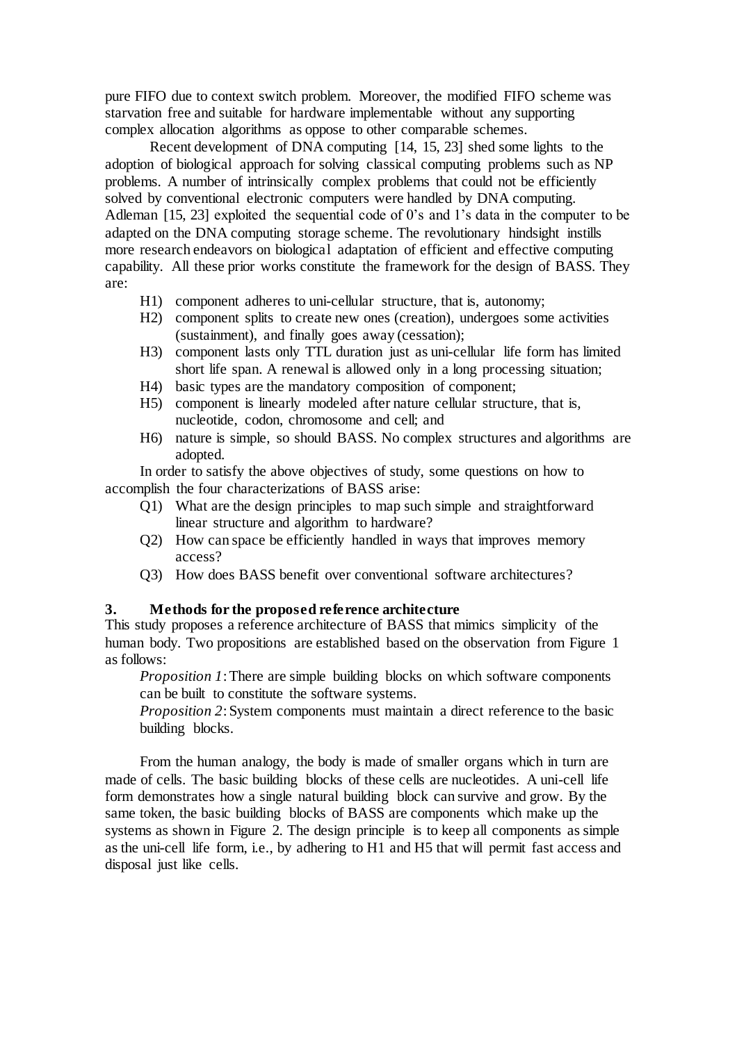pure FIFO due to context switch problem. Moreover, the modified FIFO scheme was starvation free and suitable for hardware implementable without any supporting complex allocation algorithms as oppose to other comparable schemes.

Recent development of DNA computing [14, 15, 23] shed some lights to the adoption of biological approach for solving classical computing problems such as NP problems. A number of intrinsically complex problems that could not be efficiently solved by conventional electronic computers were handled by DNA computing. Adleman [15, 23] exploited the sequential code of 0's and 1's data in the computer to be adapted on the DNA computing storage scheme. The revolutionary hindsight instills more research endeavors on biological adaptation of efficient and effective computing capability. All these prior works constitute the framework for the design of BASS. They are:

- H1) component adheres to uni-cellular structure, that is, autonomy;
- H2) component splits to create new ones (creation), undergoes some activities (sustainment), and finally goes away (cessation);
- H3) component lasts only TTL duration just as uni-cellular life form has limited short life span. A renewal is allowed only in a long processing situation;
- H4) basic types are the mandatory composition of component;
- H5) component is linearly modeled after nature cellular structure, that is, nucleotide, codon, chromosome and cell; and
- H6) nature is simple, so should BASS. No complex structures and algorithms are adopted.

In order to satisfy the above objectives of study, some questions on how to accomplish the four characterizations of BASS arise:

- Q1) What are the design principles to map such simple and straightforward linear structure and algorithm to hardware?
- Q2) How can space be efficiently handled in ways that improves memory access?
- Q3) How does BASS benefit over conventional software architectures?

#### **3. Methods for the proposed reference architecture**

This study proposes a reference architecture of BASS that mimics simplicity of the human body. Two propositions are established based on the observation from Figure 1 as follows:

*Proposition 1*: There are simple building blocks on which software components can be built to constitute the software systems.

*Proposition 2*: System components must maintain a direct reference to the basic building blocks.

From the human analogy, the body is made of smaller organs which in turn are made of cells. The basic building blocks of these cells are nucleotides. A uni-cell life form demonstrates how a single natural building block can survive and grow. By the same token, the basic building blocks of BASS are components which make up the systems as shown in Figure 2. The design principle is to keep all components as simple as the uni-cell life form, i.e., by adhering to H1 and H5 that will permit fast access and disposal just like cells.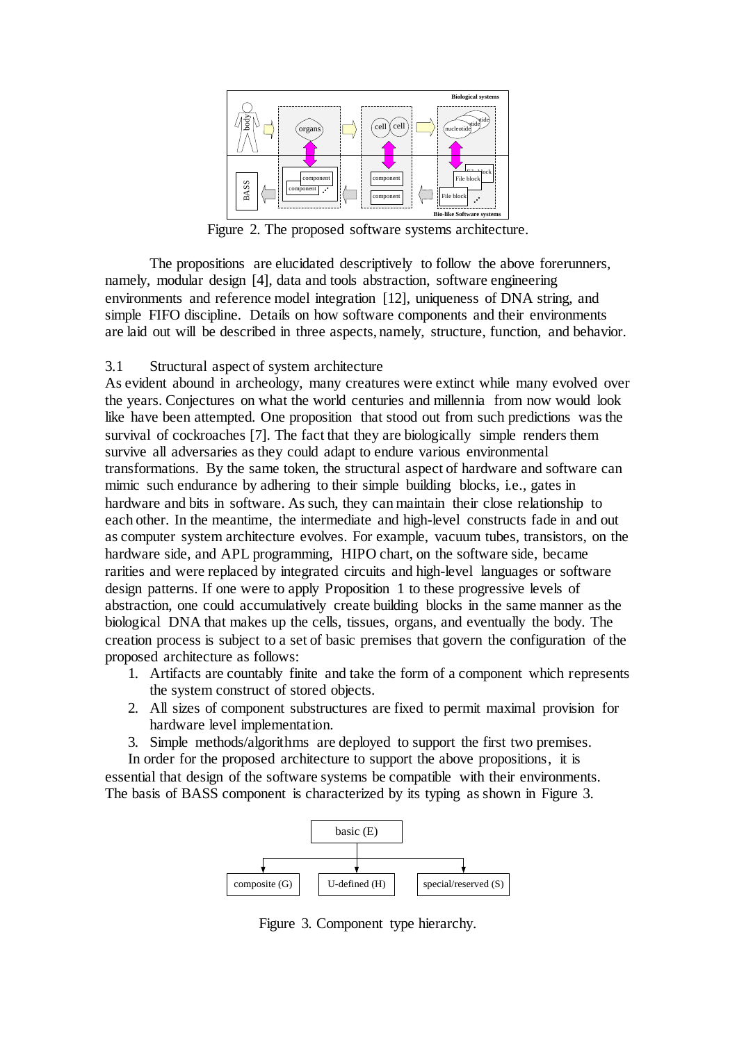

Figure 2. The proposed software systems architecture.

The propositions are elucidated descriptively to follow the above forerunners, namely, modular design [4], data and tools abstraction, software engineering environments and reference model integration [12], uniqueness of DNA string, and simple FIFO discipline. Details on how software components and their environments are laid out will be described in three aspects, namely, structure, function, and behavior.

### 3.1 Structural aspect of system architecture

As evident abound in archeology, many creatures were extinct while many evolved over the years. Conjectures on what the world centuries and millennia from now would look like have been attempted. One proposition that stood out from such predictions was the survival of cockroaches [7]. The fact that they are biologically simple renders them survive all adversaries as they could adapt to endure various environmental transformations. By the same token, the structural aspect of hardware and software can mimic such endurance by adhering to their simple building blocks, i.e., gates in hardware and bits in software. As such, they can maintain their close relationship to each other. In the meantime, the intermediate and high-level constructs fade in and out as computer system architecture evolves. For example, vacuum tubes, transistors, on the hardware side, and APL programming, HIPO chart, on the software side, became rarities and were replaced by integrated circuits and high-level languages or software design patterns. If one were to apply Proposition 1 to these progressive levels of abstraction, one could accumulatively create building blocks in the same manner as the biological DNA that makes up the cells, tissues, organs, and eventually the body. The creation process is subject to a set of basic premises that govern the configuration of the proposed architecture as follows:

- 1. Artifacts are countably finite and take the form of a component which represents the system construct of stored objects.
- 2. All sizes of component substructures are fixed to permit maximal provision for hardware level implementation.
- 3. Simple methods/algorithms are deployed to support the first two premises.

In order for the proposed architecture to support the above propositions, it is essential that design of the software systems be compatible with their environments. The basis of BASS component is characterized by its typing as shown in Figure 3.



Figure 3. Component type hierarchy.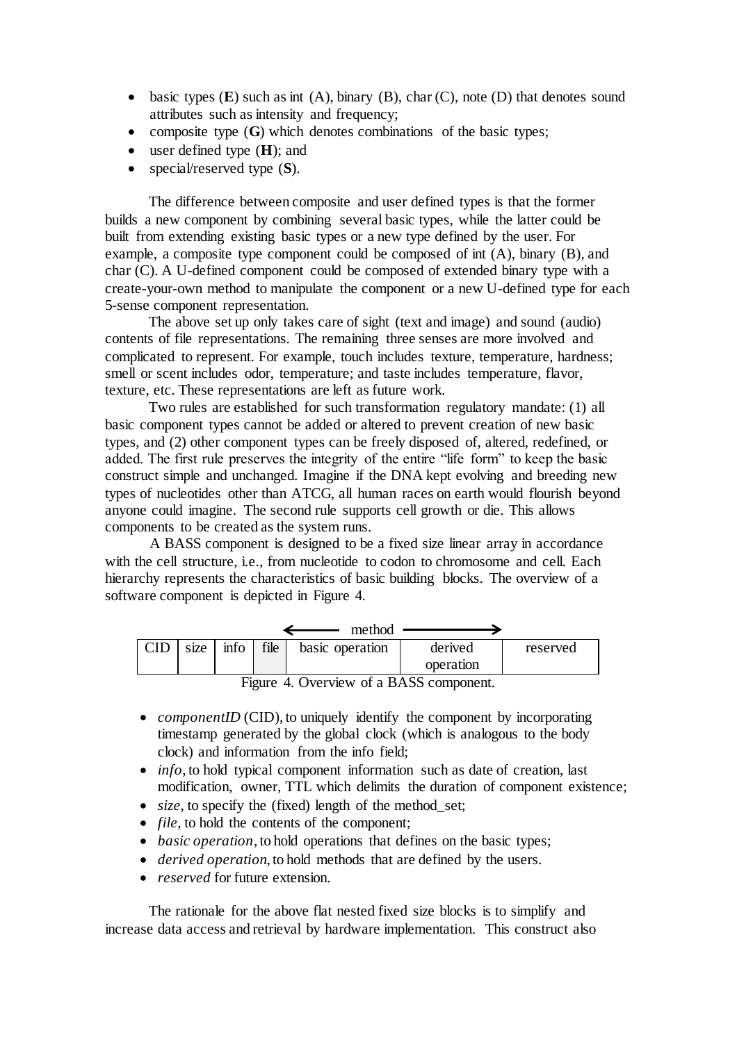- $\bullet$  basic types (**E**) such as int (A), binary (B), char (C), note (D) that denotes sound attributes such as intensity and frequency;
- composite type (**G**) which denotes combinations of the basic types:
- user defined type (**H**); and
- special/reserved type (**S**).

The difference between composite and user defined types is that the former builds a new component by combining several basic types, while the latter could be built from extending existing basic types or a new type defined by the user. For example, a composite type component could be composed of int (A), binary (B), and char (C). A U-defined component could be composed of extended binary type with a create-your-own method to manipulate the component or a new U-defined type for each 5-sense component representation.

The above set up only takes care of sight (text and image) and sound (audio) contents of file representations. The remaining three senses are more involved and complicated to represent. For example, touch includes texture, temperature, hardness; smell or scent includes odor, temperature; and taste includes temperature, flavor, texture, etc. These representations are left as future work.

Two rules are established for such transformation regulatory mandate: (1) all basic component types cannot be added or altered to prevent creation of new basic types, and (2) other component types can be freely disposed of, altered, redefined, or added. The first rule preserves the integrity of the entire "life form" to keep the basic construct simple and unchanged. Imagine if the DNA kept evolving and breeding new types of nucleotides other than ATCG, all human races on earth would flourish beyond anyone could imagine. The second rule supports cell growth or die. This allows components to be created as the system runs.

A BASS component is designed to be a fixed size linear array in accordance with the cell structure, i.e., from nucleotide to codon to chromosome and cell. Each hierarchy represents the characteristics of basic building blocks. The overview of a software component is depicted in Figure 4.

|      |        |      | method          |                           |          |
|------|--------|------|-----------------|---------------------------|----------|
| size | $\inf$ | file | basic operation | derived<br>operation      | reserved |
|      | ÷-     |      |                 | $\mathbf{R}$ $\mathbf{A}$ |          |

Figure 4. Overview of a BASS component.

- *componentID* (CID), to uniquely identify the component by incorporating timestamp generated by the global clock (which is analogous to the body clock) and information from the info field;
- *info*, to hold typical component information such as date of creation, last modification, owner, TTL which delimits the duration of component existence;
- *size*, to specify the (fixed) length of the method set;
- *file*, to hold the contents of the component;
- *basic operation*, to hold operations that defines on the basic types;
- *derived operation*, to hold methods that are defined by the users.
- *reserved* for future extension.

The rationale for the above flat nested fixed size blocks is to simplify and increase data access and retrieval by hardware implementation. This construct also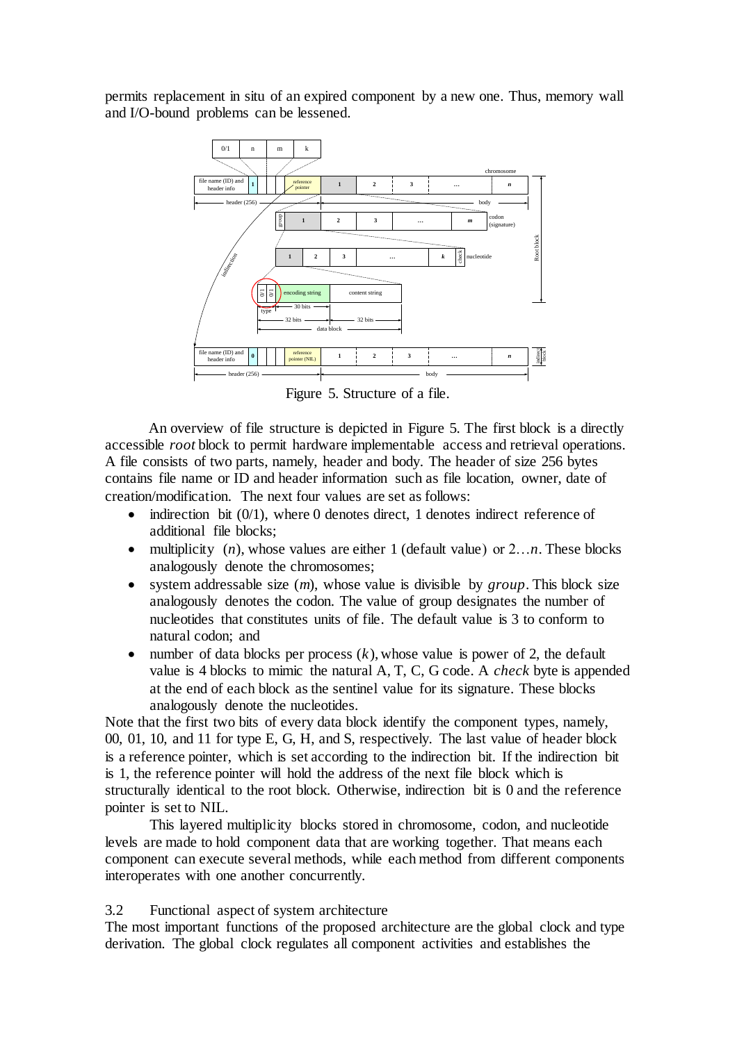permits replacement in situ of an expired component by a new one. Thus, memory wall and I/O-bound problems can be lessened.



Figure 5. Structure of a file.

An overview of file structure is depicted in Figure 5. The first block is a directly accessible *root* block to permit hardware implementable access and retrieval operations. A file consists of two parts, namely, header and body. The header of size 256 bytes contains file name or ID and header information such as file location, owner, date of creation/modification. The next four values are set as follows:

- indirection bit (0/1), where 0 denotes direct, 1 denotes indirect reference of additional file blocks;
- multiplicity  $(n)$ , whose values are either 1 (default value) or  $2...n$ . These blocks analogously denote the chromosomes;
- system addressable size (*m*), whose value is divisible by *group*. This block size analogously denotes the codon. The value of group designates the number of nucleotides that constitutes units of file. The default value is 3 to conform to natural codon; and
- number of data blocks per process  $(k)$ , whose value is power of 2, the default value is 4 blocks to mimic the natural A, T, C, G code. A *check* byte is appended at the end of each block as the sentinel value for its signature. These blocks analogously denote the nucleotides.

Note that the first two bits of every data block identify the component types, namely, 00, 01, 10, and 11 for type E, G, H, and S, respectively. The last value of header block is a reference pointer, which is set according to the indirection bit. If the indirection bit is 1, the reference pointer will hold the address of the next file block which is structurally identical to the root block. Otherwise, indirection bit is 0 and the reference pointer is set to NIL.

This layered multiplicity blocks stored in chromosome, codon, and nucleotide levels are made to hold component data that are working together. That means each component can execute several methods, while each method from different components interoperates with one another concurrently.

### 3.2 Functional aspect of system architecture

The most important functions of the proposed architecture are the global clock and type derivation. The global clock regulates all component activities and establishes the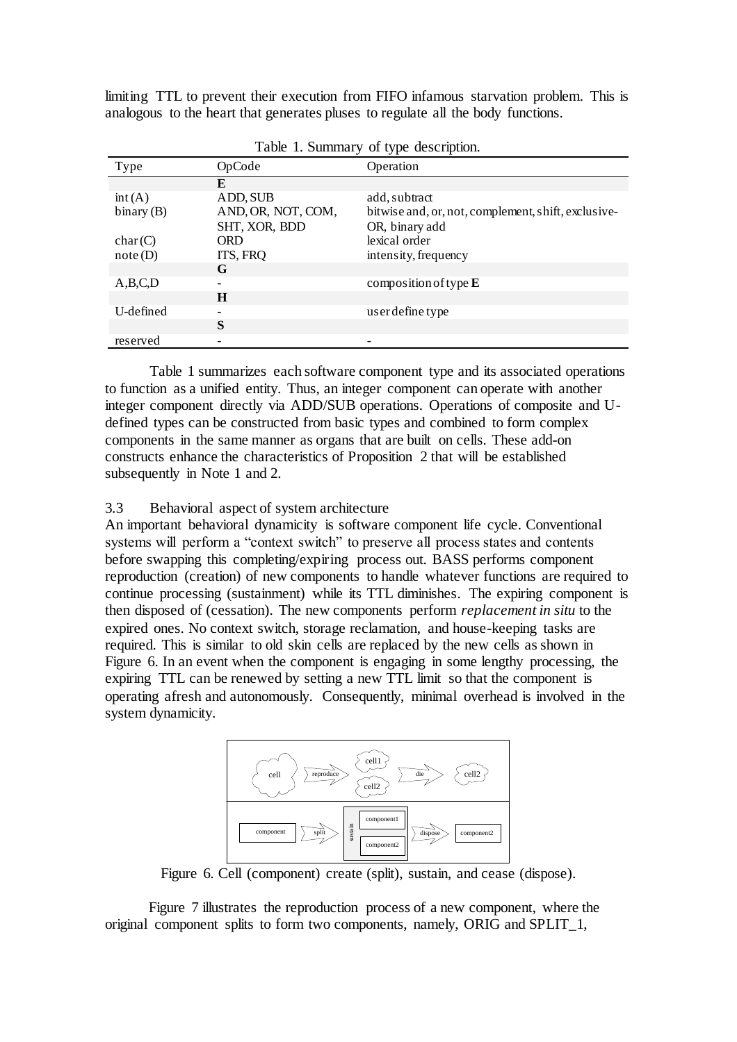limiting TTL to prevent their execution from FIFO infamous starvation problem. This is analogous to the heart that generates pluses to regulate all the body functions.

|              | $\cdots$ $\cdots$  | $\frac{1}{2}$                                       |
|--------------|--------------------|-----------------------------------------------------|
| Type         | OpCode             | Operation                                           |
|              | E                  |                                                     |
| int(A)       | ADD, SUB           | add, subtract                                       |
| binary $(B)$ | AND, OR, NOT, COM, | bitwise and, or, not, complement, shift, exclusive- |
|              | SHT, XOR, BDD      | OR, binary add                                      |
| char(C)      | <b>ORD</b>         | lexical order                                       |
| note(D)      | ITS, FRQ           | intensity, frequency                                |
|              | G                  |                                                     |
| A,B,C,D      |                    | composition of type $E$                             |
|              | H                  |                                                     |
| U-defined    |                    | user define type                                    |
|              | S                  |                                                     |
| reserved     |                    |                                                     |
|              |                    |                                                     |

Table 1. Summary of type description.

Table 1 summarizes each software component type and its associated operations to function as a unified entity. Thus, an integer component can operate with another integer component directly via ADD/SUB operations. Operations of composite and Udefined types can be constructed from basic types and combined to form complex components in the same manner as organs that are built on cells. These add-on constructs enhance the characteristics of Proposition 2 that will be established subsequently in Note 1 and 2.

### 3.3 Behavioral aspect of system architecture

An important behavioral dynamicity is software component life cycle. Conventional systems will perform a "context switch" to preserve all process states and contents before swapping this completing/expiring process out. BASS performs component reproduction (creation) of new components to handle whatever functions are required to continue processing (sustainment) while its TTL diminishes. The expiring component is then disposed of (cessation). The new components perform *replacement in situ* to the expired ones. No context switch, storage reclamation, and house-keeping tasks are required. This is similar to old skin cells are replaced by the new cells as shown in Figure 6. In an event when the component is engaging in some lengthy processing, the expiring TTL can be renewed by setting a new TTL limit so that the component is operating afresh and autonomously. Consequently, minimal overhead is involved in the system dynamicity.



Figure 6. Cell (component) create (split), sustain, and cease (dispose).

Figure 7 illustrates the reproduction process of a new component, where the original component splits to form two components, namely, ORIG and SPLIT\_1,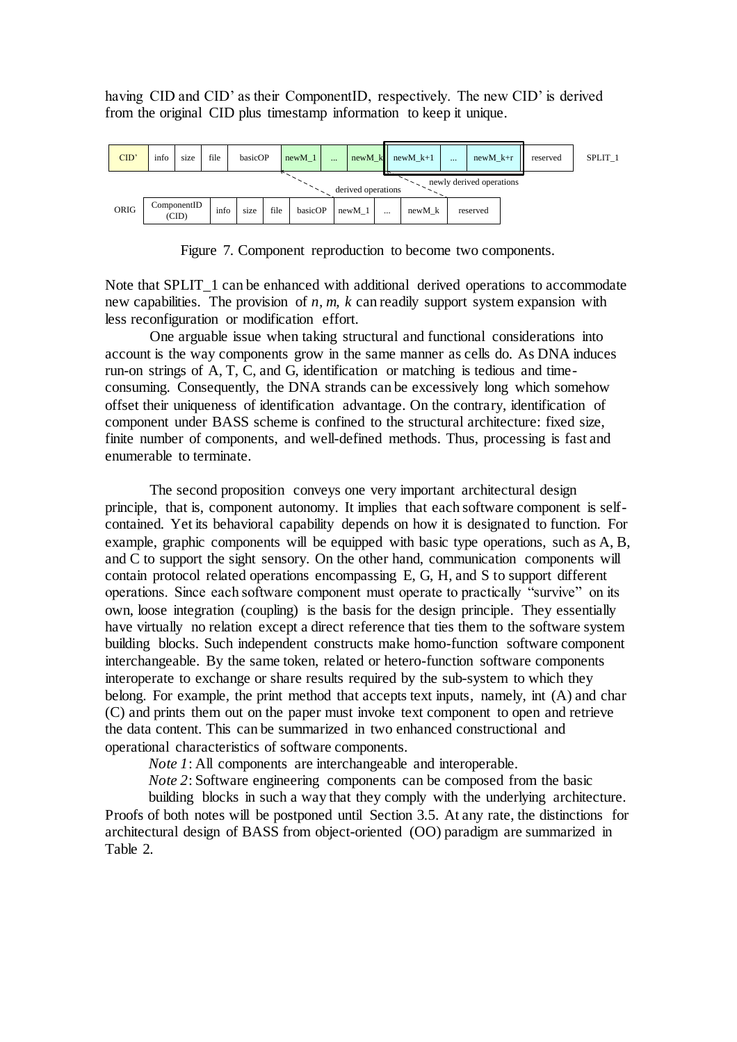having CID and CID' as their ComponentID, respectively. The new CID' is derived from the original CID plus timestamp information to keep it unique.



Figure 7. Component reproduction to become two components.

Note that SPLIT 1 can be enhanced with additional derived operations to accommodate new capabilities. The provision of *n, m, k* can readily support system expansion with less reconfiguration or modification effort.

One arguable issue when taking structural and functional considerations into account is the way components grow in the same manner as cells do. As DNA induces run-on strings of A, T, C, and G, identification or matching is tedious and timeconsuming. Consequently, the DNA strands can be excessively long which somehow offset their uniqueness of identification advantage. On the contrary, identification of component under BASS scheme is confined to the structural architecture: fixed size, finite number of components, and well-defined methods. Thus, processing is fast and enumerable to terminate.

The second proposition conveys one very important architectural design principle, that is, component autonomy. It implies that each software component is selfcontained. Yet its behavioral capability depends on how it is designated to function. For example, graphic components will be equipped with basic type operations, such as A, B, and C to support the sight sensory. On the other hand, communication components will contain protocol related operations encompassing E, G, H, and S to support different operations. Since each software component must operate to practically "survive" on its own, loose integration (coupling) is the basis for the design principle. They essentially have virtually no relation except a direct reference that ties them to the software system building blocks. Such independent constructs make homo-function software component interchangeable. By the same token, related or hetero-function software components interoperate to exchange or share results required by the sub-system to which they belong. For example, the print method that accepts text inputs, namely, int (A) and char (C) and prints them out on the paper must invoke text component to open and retrieve the data content. This can be summarized in two enhanced constructional and operational characteristics of software components.

*Note 1*: All components are interchangeable and interoperable.

*Note* 2: Software engineering components can be composed from the basic

building blocks in such a way that they comply with the underlying architecture. Proofs of both notes will be postponed until Section 3.5. At any rate, the distinctions for architectural design of BASS from object-oriented (OO) paradigm are summarized in Table 2.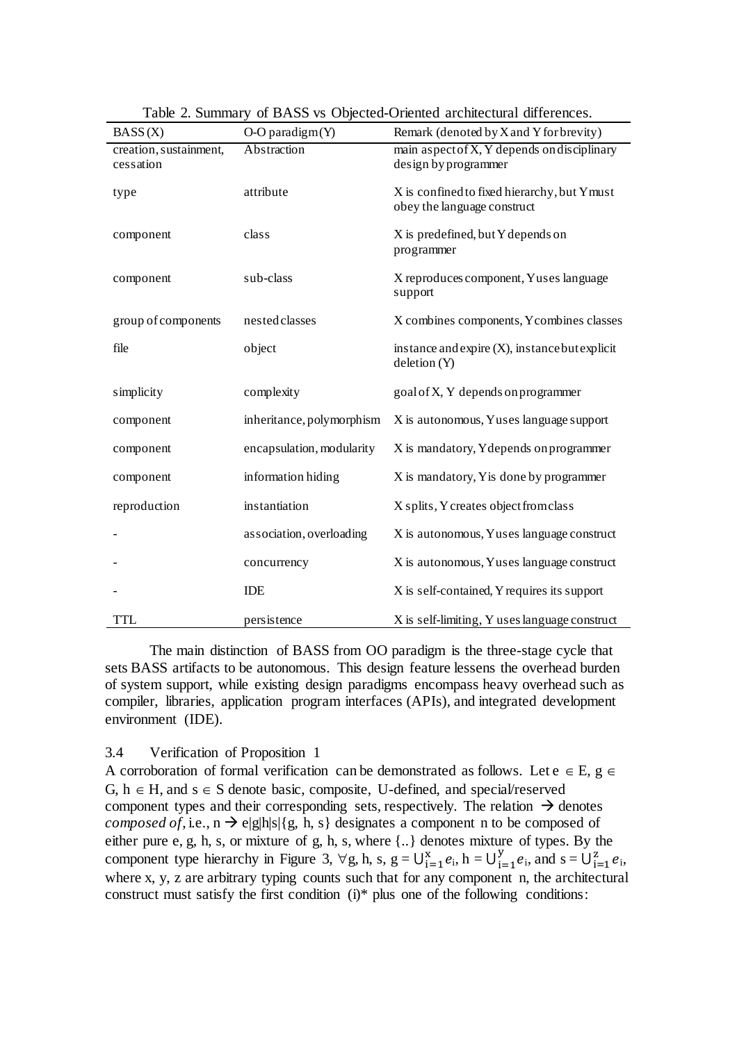| BASS(X)                             | $O-O$ paradigm $(Y)$      | Remark (denoted by X and Y for brevity)                                    |
|-------------------------------------|---------------------------|----------------------------------------------------------------------------|
| creation, sustainment,<br>cessation | Abstraction               | main aspect of X, Y depends on disciplinary<br>design by programmer        |
| type                                | attribute                 | X is confined to fixed hierarchy, but Ymust<br>obey the language construct |
| component                           | class                     | X is predefined, but Y depends on<br>programmer                            |
| component                           | sub-class                 | X reproduces component, Yuses language<br>support                          |
| group of components                 | nested classes            | X combines components, Y combines classes                                  |
| file                                | object                    | instance and expire (X), instance but explicit<br>deletion (Y)             |
| simplicity                          | complexity                | goal of X, Y depends on programmer                                         |
| component                           | inheritance, polymorphism | X is autonomous, Yuses language support                                    |
| component                           | encapsulation, modularity | X is mandatory, Y depends on programmer                                    |
| component                           | information hiding        | X is mandatory, Y is done by programmer                                    |
| reproduction                        | instantiation             | X splits, Y creates object from class                                      |
|                                     | association, overloading  | X is autonomous, Yuses language construct                                  |
|                                     | concurrency               | X is autonomous, Yuses language construct                                  |
|                                     | IDE                       | X is self-contained, Y requires its support                                |
| TTL                                 | persistence               | X is self-limiting, Y uses language construct                              |

Table 2. Summary of BASS vs Objected-Oriented architectural differences.

The main distinction of BASS from OO paradigm is the three-stage cycle that sets BASS artifacts to be autonomous. This design feature lessens the overhead burden of system support, while existing design paradigms encompass heavy overhead such as compiler, libraries, application program interfaces (APIs), and integrated development environment (IDE).

### 3.4 Verification of Proposition 1

A corroboration of formal verification can be demonstrated as follows. Let  $e \in E$ ,  $g \in E$ G,  $h \in H$ , and  $s \in S$  denote basic, composite, U-defined, and special/reserved component types and their corresponding sets, respectively. The relation  $\rightarrow$  denotes *composed of*, i.e.,  $n \rightarrow e|g|h|s|{g, h, s}$  designates a component n to be composed of either pure e, g, h, s, or mixture of g, h, s, where {..} denotes mixture of types. By the component type hierarchy in Figure 3,  $\forall g, h, s, g = U_{i=1}^x e_i, h = U_{i=1}^y e_i$  $y_{i=1}^{y} e_i$ , and  $s = \bigcup_{i=1}^{z} e_i$ , where x, y, z are arbitrary typing counts such that for any component n, the architectural construct must satisfy the first condition (i)\* plus one of the following conditions: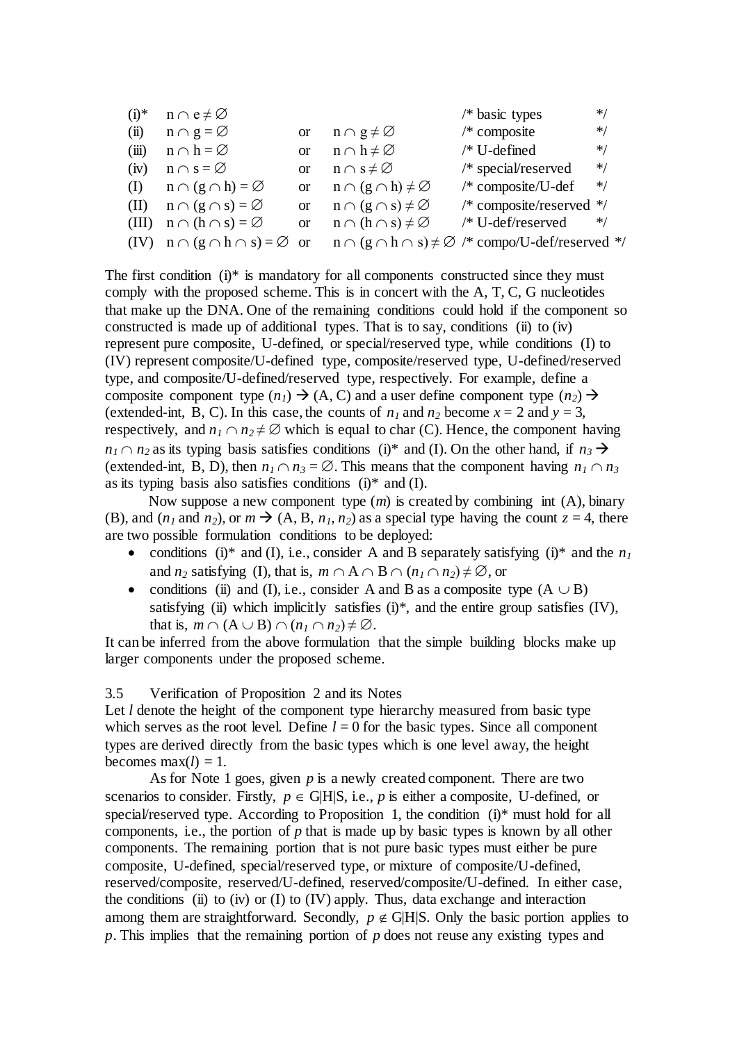| $(i)*$ | $n \cap e \neq \emptyset$             |          |                                       | /* basic types                                                                                                      | ∗/    |
|--------|---------------------------------------|----------|---------------------------------------|---------------------------------------------------------------------------------------------------------------------|-------|
| (ii)   | $n \cap g = \varnothing$              |          | or $n \cap g \neq \emptyset$          | $/*$ composite                                                                                                      | $*$ / |
| (iii)  | $n \cap h = \varnothing$              | $\alpha$ | $n \cap h \neq \varnothing$           | $/*$ U-defined                                                                                                      | $* /$ |
| (iv)   | $n \cap s = \varnothing$              | $\alpha$ | $n \cap s \neq \varnothing$           | /* special/reserved                                                                                                 | $* /$ |
|        | (I) $n \cap (g \cap h) = \varnothing$ |          | or $n \cap (g \cap h) \neq \emptyset$ | $/*$ composite/U-def                                                                                                | $*$   |
| (II)   | $n \cap (g \cap s) = \varnothing$     |          | or $n \cap (g \cap s) \neq \emptyset$ | /* composite/reserved $*/$                                                                                          |       |
|        | (III) $n \cap (h \cap s) = \emptyset$ |          | or $n \cap (h \cap s) \neq \emptyset$ | /* U-def/reserved                                                                                                   | $* /$ |
|        |                                       |          |                                       | (IV) $n \cap (g \cap h \cap s) = \emptyset$ or $n \cap (g \cap h \cap s) \neq \emptyset$ /* compo/U-def/reserved */ |       |

The first condition  $(i)$ <sup>\*</sup> is mandatory for all components constructed since they must comply with the proposed scheme. This is in concert with the A, T, C, G nucleotides that make up the DNA. One of the remaining conditions could hold if the component so constructed is made up of additional types. That is to say, conditions (ii) to  $(iv)$ represent pure composite, U-defined, or special/reserved type, while conditions (I) to (IV) represent composite/U-defined type, composite/reserved type, U-defined/reserved type, and composite/U-defined/reserved type, respectively. For example, define a composite component type  $(n_1) \rightarrow (A, C)$  and a user define component type  $(n_2) \rightarrow$ (extended-int, B, C). In this case, the counts of  $n_1$  and  $n_2$  become  $x = 2$  and  $y = 3$ , respectively, and  $n_1 \cap n_2 \neq \emptyset$  which is equal to char (C). Hence, the component having  $n_1 \cap n_2$  as its typing basis satisfies conditions (i)\* and (I). On the other hand, if  $n_3 \rightarrow$ (extended-int, B, D), then  $n_1 \cap n_3 = \emptyset$ . This means that the component having  $n_1 \cap n_3$ as its typing basis also satisfies conditions  $(i)$ <sup>\*</sup> and  $(I)$ .

Now suppose a new component type (*m*) is created by combining int (A), binary (B), and  $(n_1 \text{ and } n_2)$ , or  $m \rightarrow (A, B, n_1, n_2)$  as a special type having the count  $z = 4$ , there are two possible formulation conditions to be deployed:

- conditions (i)\* and (I), i.e., consider A and B separately satisfying (i)\* and the  $n_1$ and *n*<sub>2</sub> satisfying (I), that is,  $m \cap A \cap B \cap (n_1 \cap n_2) \neq \emptyset$ , or
- conditions (ii) and (I), i.e., consider A and B as a composite type  $(A \cup B)$ satisfying (ii) which implicitly satisfies  $(i)$ <sup>\*</sup>, and the entire group satisfies  $(IV)$ , that is,  $m \cap (A \cup B) \cap (n_1 \cap n_2) \neq \emptyset$ .

It can be inferred from the above formulation that the simple building blocks make up larger components under the proposed scheme.

3.5 Verification of Proposition 2 and its Notes

Let *l* denote the height of the component type hierarchy measured from basic type which serves as the root level. Define  $l = 0$  for the basic types. Since all component types are derived directly from the basic types which is one level away, the height becomes max $(l) = 1$ .

As for Note 1 goes, given *p* is a newly created component. There are two scenarios to consider. Firstly,  $p \in G[H|S]$ , i.e., *p* is either a composite, U-defined, or special/reserved type. According to Proposition 1, the condition (i)\* must hold for all components, i.e., the portion of *p* that is made up by basic types is known by all other components. The remaining portion that is not pure basic types must either be pure composite, U-defined, special/reserved type, or mixture of composite/U-defined, reserved/composite, reserved/U-defined, reserved/composite/U-defined. In either case, the conditions (ii) to (iv) or (I) to (IV) apply. Thus, data exchange and interaction among them are straightforward. Secondly,  $p \notin G|H|S$ . Only the basic portion applies to *p*. This implies that the remaining portion of *p* does not reuse any existing types and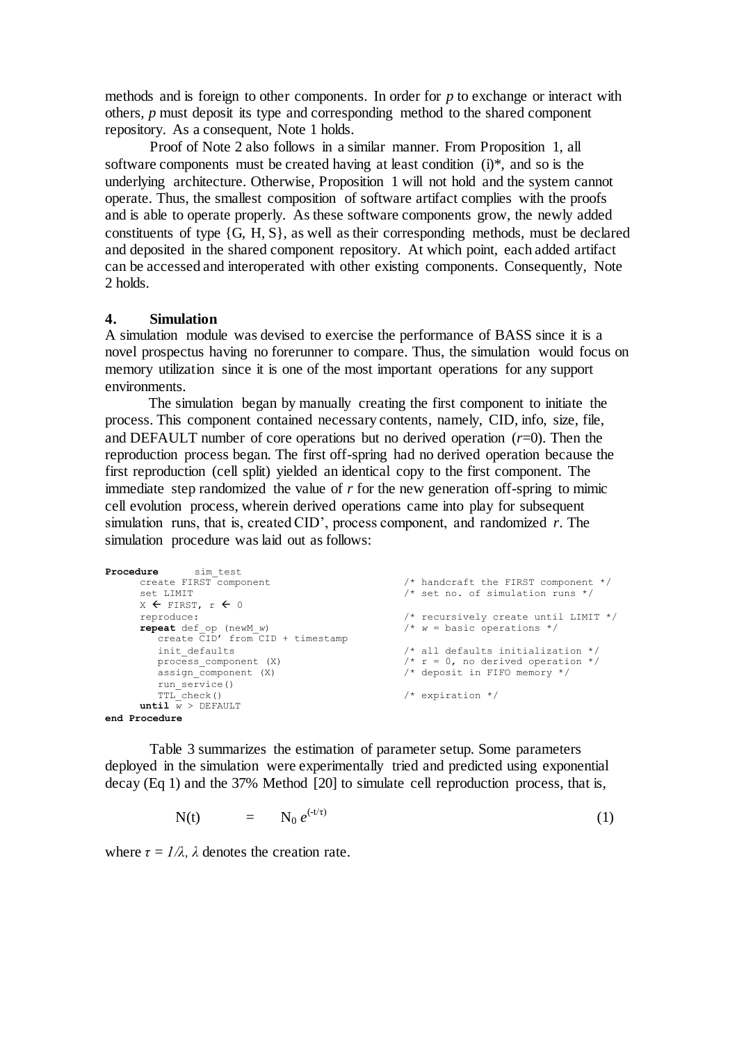methods and is foreign to other components. In order for *p* to exchange or interact with others, *p* must deposit its type and corresponding method to the shared component repository. As a consequent, Note 1 holds.

Proof of Note 2 also follows in a similar manner. From Proposition 1, all software components must be created having at least condition (i)\*, and so is the underlying architecture. Otherwise, Proposition 1 will not hold and the system cannot operate. Thus, the smallest composition of software artifact complies with the proofs and is able to operate properly. As these software components grow, the newly added constituents of type {G, H, S}, as well as their corresponding methods, must be declared and deposited in the shared component repository. At which point, each added artifact can be accessed and interoperated with other existing components. Consequently, Note 2 holds.

### **4. Simulation**

A simulation module was devised to exercise the performance of BASS since it is a novel prospectus having no forerunner to compare. Thus, the simulation would focus on memory utilization since it is one of the most important operations for any support environments.

The simulation began by manually creating the first component to initiate the process. This component contained necessary contents, namely, CID, info, size, file, and DEFAULT number of core operations but no derived operation  $(r=0)$ . Then the reproduction process began. The first off-spring had no derived operation because the first reproduction (cell split) yielded an identical copy to the first component. The immediate step randomized the value of  $r$  for the new generation of f-spring to mimic cell evolution process, wherein derived operations came into play for subsequent simulation runs, that is, created CID', process component, and randomized *r*. The simulation procedure was laid out as follows:

```
Procedure sim_test<br>create FIRST component
                                                           \frac{1}{x} handcraft the FIRST component */
      set LIMIT \prime * set no. of simulation runs */
      X \leftarrow FIRST, r \leftarrow 0reproduce: \frac{1}{x} /* recursively create until LIMIT */<br>
repeat def op (new W) \frac{1}{x} w = basic operations */
       repeat def op (newM w) \frac{1}{2} /* w = basic operations */
           create CID' from CID + timestamp
         init_defaults \frac{1}{x} all defaults initialization */<br>process_component (X) \frac{1}{x} \frac{1}{x} = 0, no derived operation */
           process component (X) \qquad /* r = 0, no derived operation */
           assign component (X) \frac{1}{2} /* deposit in FIFO memory */
         run_service()<br>TTL_check()
                                                           \sqrt{\tau} expiration \sqrt{\tau}until \overline{w} > DEFAULTend Procedure
```
Table 3 summarizes the estimation of parameter setup. Some parameters deployed in the simulation were experimentally tried and predicted using exponential decay (Eq 1) and the 37% Method [20] to simulate cell reproduction process, that is,

$$
N(t) = N_0 e^{(-t/\tau)} \tag{1}
$$

where  $\tau = I/\lambda$ ,  $\lambda$  denotes the creation rate.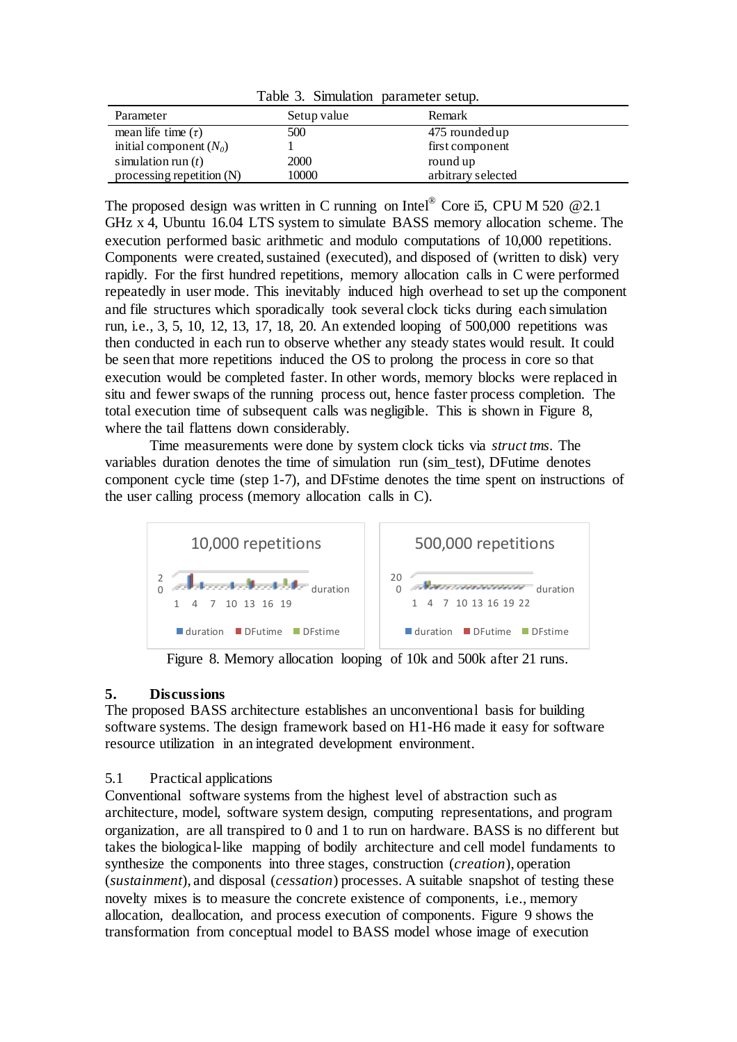|  | Table 3. Simulation parameter setup. |  |  |
|--|--------------------------------------|--|--|
|--|--------------------------------------|--|--|

| Parameter                   | Setup value | Remark             |
|-----------------------------|-------------|--------------------|
| mean life time $(\tau)$     | 500         | 475 rounded up     |
| initial component $(N_0)$   |             | first component    |
| simulation run $(t)$        | 2000        | round up           |
| processing repetition $(N)$ | 10000       | arbitrary selected |

The proposed design was written in C running on Intel® Core i5, CPU M 520  $@2.1$ GHz x 4, Ubuntu 16.04 LTS system to simulate BASS memory allocation scheme. The execution performed basic arithmetic and modulo computations of 10,000 repetitions. Components were created, sustained (executed), and disposed of (written to disk) very rapidly. For the first hundred repetitions, memory allocation calls in C were performed repeatedly in user mode. This inevitably induced high overhead to set up the component and file structures which sporadically took several clock ticks during each simulation run, i.e., 3, 5, 10, 12, 13, 17, 18, 20. An extended looping of 500,000 repetitions was then conducted in each run to observe whether any steady states would result. It could be seen that more repetitions induced the OS to prolong the process in core so that execution would be completed faster. In other words, memory blocks were replaced in situ and fewer swaps of the running process out, hence faster process completion. The total execution time of subsequent calls was negligible. This is shown in Figure 8, where the tail flattens down considerably.

Time measurements were done by system clock ticks via *struct tms*. The variables duration denotes the time of simulation run (sim\_test), DFutime denotes component cycle time (step 1-7), and DFstime denotes the time spent on instructions of the user calling process (memory allocation calls in C).



Figure 8. Memory allocation looping of 10k and 500k after 21 runs.

# **5. Discussions**

The proposed BASS architecture establishes an unconventional basis for building software systems. The design framework based on H1-H6 made it easy for software resource utilization in an integrated development environment.

### 5.1 Practical applications

Conventional software systems from the highest level of abstraction such as architecture, model, software system design, computing representations, and program organization, are all transpired to 0 and 1 to run on hardware. BASS is no different but takes the biological-like mapping of bodily architecture and cell model fundaments to synthesize the components into three stages, construction (*creation*), operation (*sustainment*), and disposal (*cessation*) processes. A suitable snapshot of testing these novelty mixes is to measure the concrete existence of components, i.e., memory allocation, deallocation, and process execution of components. Figure 9 shows the transformation from conceptual model to BASS model whose image of execution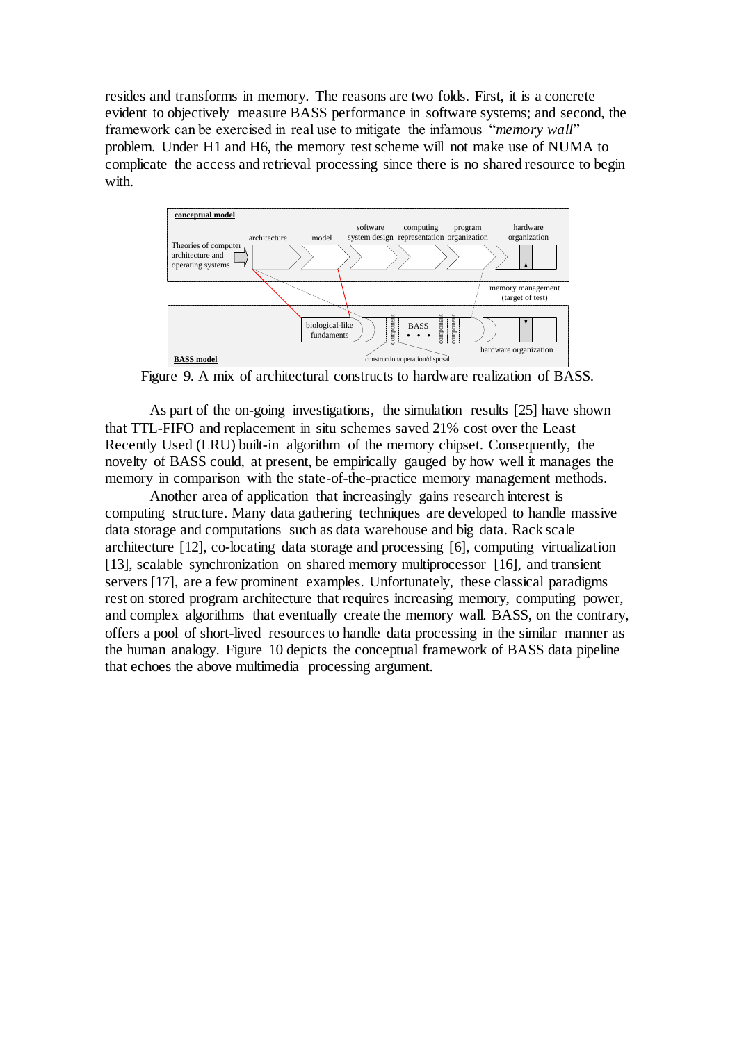resides and transforms in memory. The reasons are two folds. First, it is a concrete evident to objectively measure BASS performance in software systems; and second, the framework can be exercised in real use to mitigate the infamous "*memory wall*" problem. Under H1 and H6, the memory test scheme will not make use of NUMA to complicate the access and retrieval processing since there is no shared resource to begin with.



Figure 9. A mix of architectural constructs to hardware realization of BASS.

As part of the on-going investigations, the simulation results [25] have shown that TTL-FIFO and replacement in situ schemes saved 21% cost over the Least Recently Used (LRU) built-in algorithm of the memory chipset. Consequently, the novelty of BASS could, at present, be empirically gauged by how well it manages the memory in comparison with the state-of-the-practice memory management methods.

Another area of application that increasingly gains research interest is computing structure. Many data gathering techniques are developed to handle massive data storage and computations such as data warehouse and big data. Rack scale architecture [12], co-locating data storage and processing [6], computing virtualization [13], scalable synchronization on shared memory multiprocessor [16], and transient servers [17], are a few prominent examples. Unfortunately, these classical paradigms rest on stored program architecture that requires increasing memory, computing power, and complex algorithms that eventually create the memory wall. BASS, on the contrary, offers a pool of short-lived resources to handle data processing in the similar manner as the human analogy. Figure 10 depicts the conceptual framework of BASS data pipeline that echoes the above multimedia processing argument.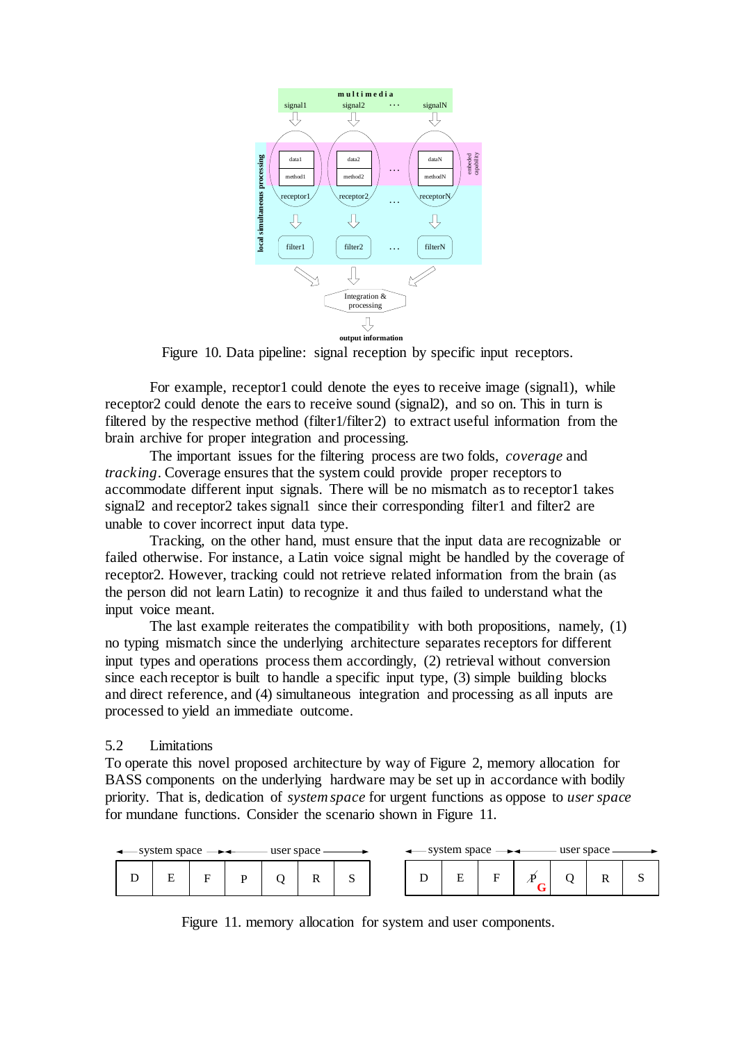

Figure 10. Data pipeline: signal reception by specific input receptors.

For example, receptor1 could denote the eyes to receive image (signal1), while receptor2 could denote the ears to receive sound (signal2), and so on. This in turn is filtered by the respective method (filter1/filter2) to extract useful information from the brain archive for proper integration and processing.

The important issues for the filtering process are two folds, *coverage* and *tracking*. Coverage ensures that the system could provide proper receptors to accommodate different input signals. There will be no mismatch as to receptor1 takes signal2 and receptor2 takes signal1 since their corresponding filter1 and filter2 are unable to cover incorrect input data type.

Tracking, on the other hand, must ensure that the input data are recognizable or failed otherwise. For instance, a Latin voice signal might be handled by the coverage of receptor2. However, tracking could not retrieve related information from the brain (as the person did not learn Latin) to recognize it and thus failed to understand what the input voice meant.

The last example reiterates the compatibility with both propositions, namely, (1) no typing mismatch since the underlying architecture separates receptors for different input types and operations process them accordingly, (2) retrieval without conversion since each receptor is built to handle a specific input type, (3) simple building blocks and direct reference, and (4) simultaneous integration and processing as all inputs are processed to yield an immediate outcome.

#### 5.2 Limitations

To operate this novel proposed architecture by way of Figure 2, memory allocation for BASS components on the underlying hardware may be set up in accordance with bodily priority. That is, dedication of *system space* for urgent functions as oppose to *user space* for mundane functions. Consider the scenario shown in Figure 11.



Figure 11. memory allocation for system and user components.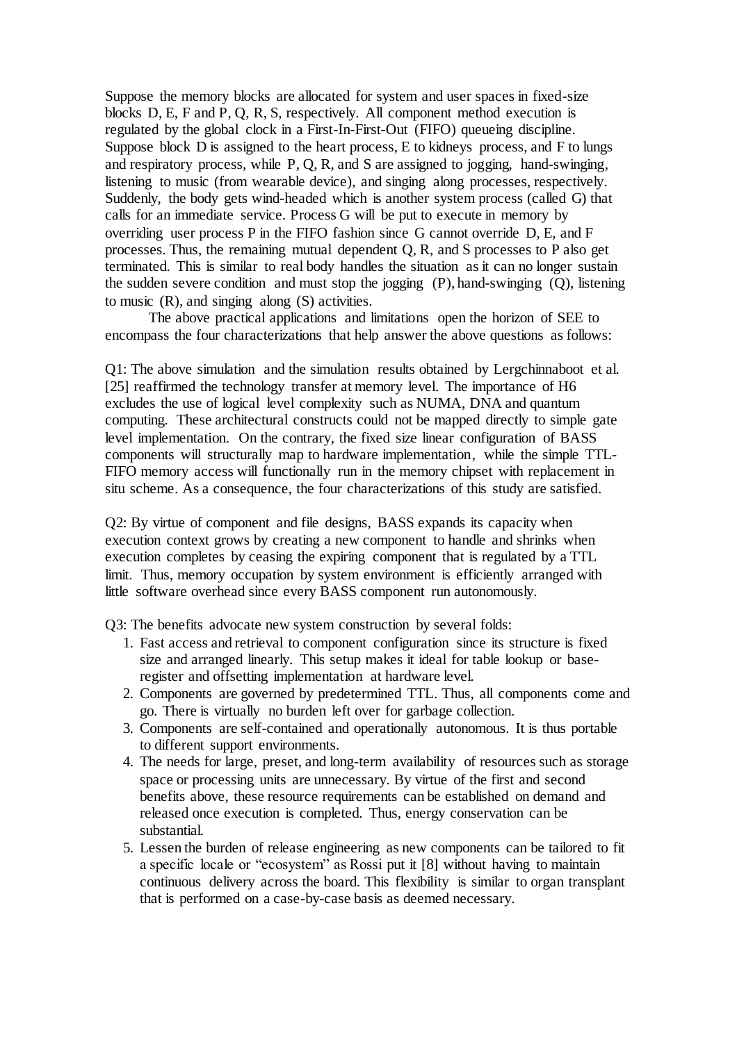Suppose the memory blocks are allocated for system and user spaces in fixed-size blocks D, E, F and P, Q, R, S, respectively. All component method execution is regulated by the global clock in a First-In-First-Out (FIFO) queueing discipline. Suppose block D is assigned to the heart process, E to kidneys process, and F to lungs and respiratory process, while P, Q, R, and S are assigned to jogging, hand-swinging, listening to music (from wearable device), and singing along processes, respectively. Suddenly, the body gets wind-headed which is another system process (called G) that calls for an immediate service. Process G will be put to execute in memory by overriding user process P in the FIFO fashion since G cannot override D, E, and F processes. Thus, the remaining mutual dependent Q, R, and S processes to P also get terminated. This is similar to real body handles the situation as it can no longer sustain the sudden severe condition and must stop the jogging (P), hand-swinging (Q), listening to music  $(R)$ , and singing along  $(S)$  activities.

The above practical applications and limitations open the horizon of SEE to encompass the four characterizations that help answer the above questions as follows:

Q1: The above simulation and the simulation results obtained by Lergchinnaboot et al. [25] reaffirmed the technology transfer at memory level. The importance of H6 excludes the use of logical level complexity such as NUMA, DNA and quantum computing. These architectural constructs could not be mapped directly to simple gate level implementation. On the contrary, the fixed size linear configuration of BASS components will structurally map to hardware implementation, while the simple TTL-FIFO memory access will functionally run in the memory chipset with replacement in situ scheme. As a consequence, the four characterizations of this study are satisfied.

Q2: By virtue of component and file designs, BASS expands its capacity when execution context grows by creating a new component to handle and shrinks when execution completes by ceasing the expiring component that is regulated by a TTL limit. Thus, memory occupation by system environment is efficiently arranged with little software overhead since every BASS component run autonomously.

Q3: The benefits advocate new system construction by several folds:

- 1. Fast access and retrieval to component configuration since its structure is fixed size and arranged linearly. This setup makes it ideal for table lookup or baseregister and offsetting implementation at hardware level.
- 2. Components are governed by predetermined TTL. Thus, all components come and go. There is virtually no burden left over for garbage collection.
- 3. Components are self-contained and operationally autonomous. It is thus portable to different support environments.
- 4. The needs for large, preset, and long-term availability of resources such as storage space or processing units are unnecessary. By virtue of the first and second benefits above, these resource requirements can be established on demand and released once execution is completed. Thus, energy conservation can be substantial.
- 5. Lessen the burden of release engineering as new components can be tailored to fit a specific locale or "ecosystem" as Rossi put it [8] without having to maintain continuous delivery across the board. This flexibility is similar to organ transplant that is performed on a case-by-case basis as deemed necessary.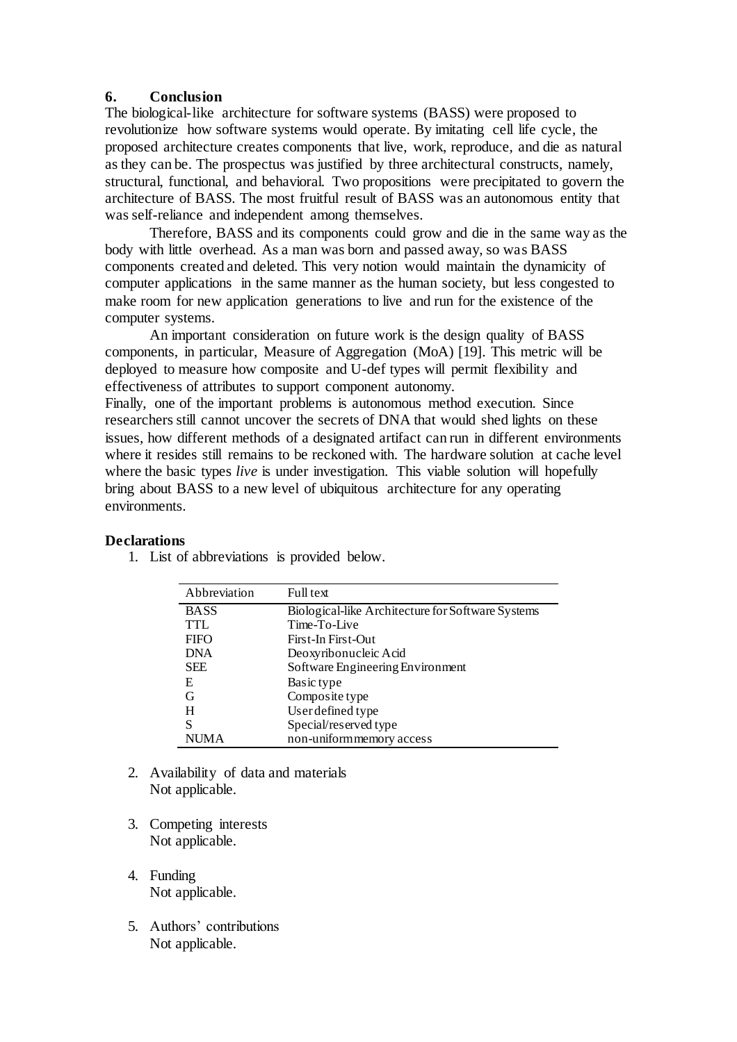### **6. Conclusion**

The biological-like architecture for software systems (BASS) were proposed to revolutionize how software systems would operate. By imitating cell life cycle, the proposed architecture creates components that live, work, reproduce, and die as natural as they can be. The prospectus was justified by three architectural constructs, namely, structural, functional, and behavioral. Two propositions were precipitated to govern the architecture of BASS. The most fruitful result of BASS was an autonomous entity that was self-reliance and independent among themselves.

Therefore, BASS and its components could grow and die in the same way as the body with little overhead. As a man was born and passed away, so was BASS components created and deleted. This very notion would maintain the dynamicity of computer applications in the same manner as the human society, but less congested to make room for new application generations to live and run for the existence of the computer systems.

An important consideration on future work is the design quality of BASS components, in particular, Measure of Aggregation (MoA) [19]. This metric will be deployed to measure how composite and U-def types will permit flexibility and effectiveness of attributes to support component autonomy.

Finally, one of the important problems is autonomous method execution. Since researchers still cannot uncover the secrets of DNA that would shed lights on these issues, how different methods of a designated artifact can run in different environments where it resides still remains to be reckoned with. The hardware solution at cache level where the basic types *live* is under investigation. This viable solution will hopefully bring about BASS to a new level of ubiquitous architecture for any operating environments.

| <b>Declarations</b> |
|---------------------|
|                     |

| Abbreviation | Full text                                         |
|--------------|---------------------------------------------------|
| <b>BASS</b>  | Biological-like Architecture for Software Systems |
| TTL.         | Time-To-Live                                      |
| <b>FIFO</b>  | First-In First-Out                                |
| <b>DNA</b>   | Deoxyribonucleic Acid                             |
| <b>SEE</b>   | Software Engineering Environment                  |
| E            | Basic type                                        |
| G            | Composite type                                    |
| Н            | User defined type                                 |
| S            | Special/reserved type                             |
| NI IM A      | non-uniformmemory access                          |

1. List of abbreviations is provided below.

- 2. Availability of data and materials Not applicable.
- 3. Competing interests Not applicable.
- 4. Funding Not applicable.
- 5. Authors' contributions Not applicable.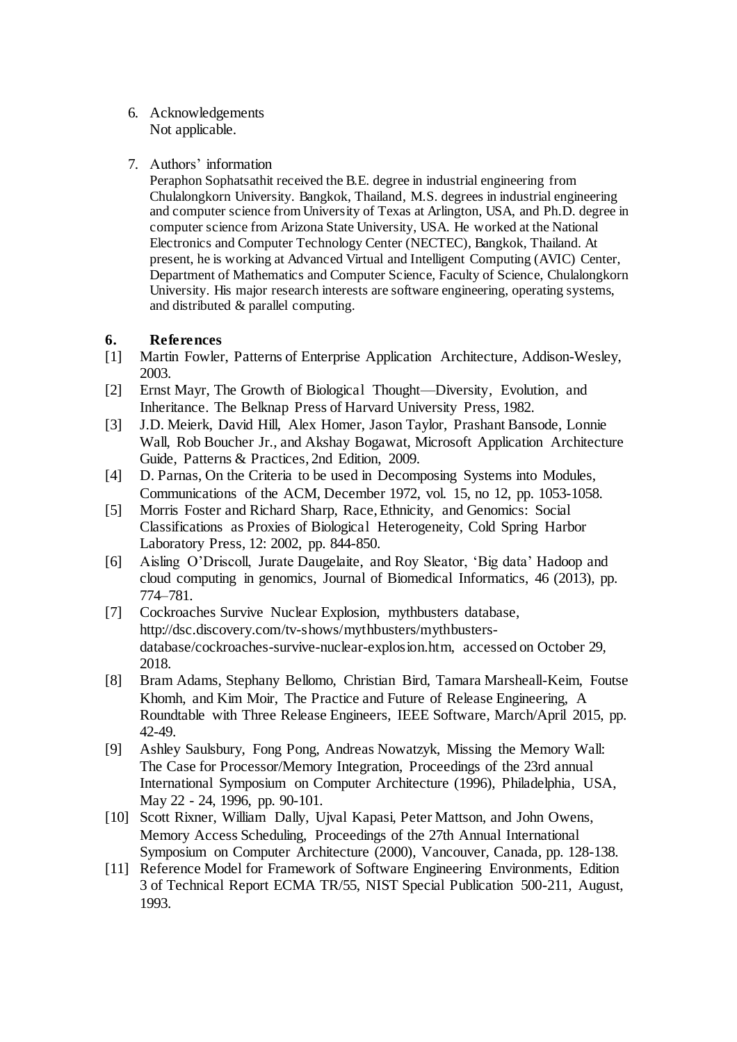- 6. Acknowledgements Not applicable.
- 7. Authors' information

Peraphon Sophatsathit received the B.E. degree in industrial engineering from Chulalongkorn University. Bangkok, Thailand, M.S. degrees in industrial engineering and computer science from University of Texas at Arlington, USA, and Ph.D. degree in computer science from Arizona State University, USA. He worked at the National Electronics and Computer Technology Center (NECTEC), Bangkok, Thailand. At present, he is working at Advanced Virtual and Intelligent Computing (AVIC) Center, Department of Mathematics and Computer Science, Faculty of Science, Chulalongkorn University. His major research interests are software engineering, operating systems, and distributed & parallel computing.

## **6. References**

- [1] Martin Fowler, Patterns of Enterprise Application Architecture, Addison-Wesley, 2003.
- [2] Ernst Mayr, The Growth of Biological Thought—Diversity, Evolution, and Inheritance. The Belknap Press of Harvard University Press, 1982.
- [3] J.D. Meierk, David Hill, Alex Homer, Jason Taylor, Prashant Bansode, Lonnie Wall, Rob Boucher Jr., and Akshay Bogawat, Microsoft Application Architecture Guide, Patterns & Practices, 2nd Edition, 2009.
- [4] D. Parnas, On the Criteria to be used in Decomposing Systems into Modules, Communications of the ACM, December 1972, vol. 15, no 12, pp. 1053-1058.
- [5] Morris Foster and Richard Sharp, Race, Ethnicity, and Genomics: Social Classifications as Proxies of Biological Heterogeneity, Cold Spring Harbor Laboratory Press, 12: 2002, pp. 844-850.
- [6] Aisling O'Driscoll, Jurate Daugelaite, and Roy Sleator, 'Big data' Hadoop and cloud computing in genomics, Journal of Biomedical Informatics, 46 (2013), pp. 774–781.
- [7] Cockroaches Survive Nuclear Explosion, mythbusters database, http://dsc.discovery.com/tv-shows/mythbusters/mythbustersdatabase/cockroaches-survive-nuclear-explosion.htm, accessed on October 29, 2018.
- [8] Bram Adams, Stephany Bellomo, Christian Bird, Tamara Marsheall-Keim, Foutse Khomh, and Kim Moir, The Practice and Future of Release Engineering, A Roundtable with Three Release Engineers, IEEE Software, March/April 2015, pp. 42-49.
- [9] Ashley Saulsbury, Fong Pong, Andreas Nowatzyk, Missing the Memory Wall: The Case for Processor/Memory Integration, Proceedings of the 23rd annual International Symposium on Computer Architecture (1996), Philadelphia, USA, May 22 - 24, 1996, pp. 90-101.
- [10] Scott Rixner, William Dally, Ujval Kapasi, Peter Mattson, and John Owens, Memory Access Scheduling, Proceedings of the 27th Annual International Symposium on Computer Architecture (2000), Vancouver, Canada, pp. 128-138.
- [11] Reference Model for Framework of Software Engineering Environments, Edition 3 of Technical Report ECMA TR/55, NIST Special Publication 500-211, August, 1993.